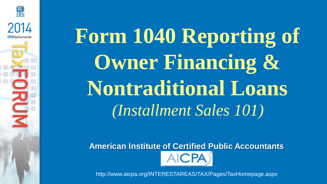### **Form 1040 Reporting of Owner Financing & Nontraditional Loans** *(Installment Sales 101)*

**END**<br>IRS

2014

**RUM** 

**American Institute of Certified Public Accountants**  $ICPA$ 

http://www.aicpa.org/INTERESTAREAS/TAX/Pages/TaxHomepage.aspx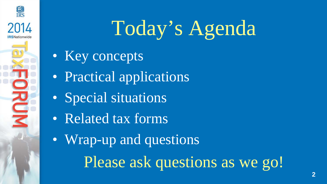

### Today's Agenda

- Key concepts
- Practical applications
- Special situations
- Related tax forms
- Wrap-up and questions

Please ask questions as we go!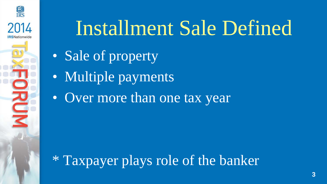

#### Installment Sale Defined

- Sale of property
- Multiple payments
- Over more than one tax year

\* Taxpayer plays role of the banker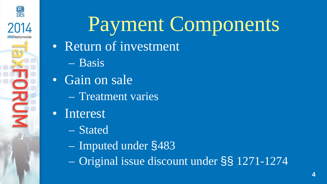

#### Payment Components

- Return of investment
	- Basis
- Gain on sale
	- Treatment varies
- Interest
	- Stated
	- Imputed under §483
	- Original issue discount under §§ 1271-1274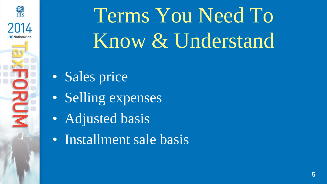

### Terms You Need To Know & Understand

- Sales price
- Selling expenses
- Adjusted basis
- Installment sale basis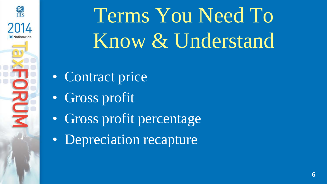

### Terms You Need To Know & Understand

- Contract price
- Gross profit
- Gross profit percentage
- Depreciation recapture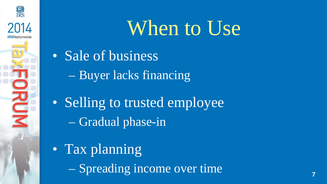

#### When to Use

- Sale of business
	- Buyer lacks financing
- Selling to trusted employee – Gradual phase-in
- Tax planning
	- Spreading income over time **<sup>7</sup>**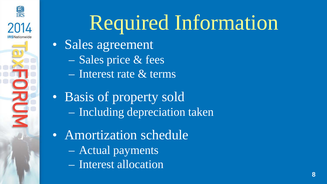

#### Required Information

- Sales agreement
	- Sales price & fees
	- Interest rate & terms
- Basis of property sold – Including depreciation taken
- Amortization schedule
	- Actual payments
	- Interest allocation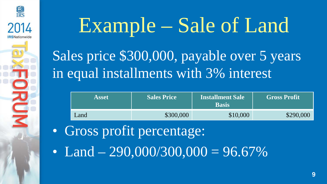

# Example – Sale of Land

Sales price \$300,000, payable over 5 years in equal installments with 3% interest

| <b>Asset</b> | <b>Sales Price</b> |          | <b>Gross Profit</b> |  |  |
|--------------|--------------------|----------|---------------------|--|--|
| Land         | \$300,000          | \$10,000 | \$290,000           |  |  |

- Gross profit percentage:
- Land  $-290,000/300,000 = 96.67\%$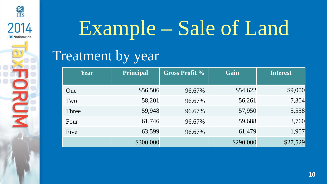

## Example – Sale of Land

#### Treatment by year

| <b>Year</b> | <b>Principal</b> | <b>Gross Profit %</b><br>Gain |           | <b>Interest</b> |
|-------------|------------------|-------------------------------|-----------|-----------------|
| One         | \$56,506         | 96.67%                        | \$54,622  | \$9,000         |
| Two         | 58,201           | 96.67%                        | 56,261    | 7,304           |
| Three       | 59,948           | 96.67%                        | 57,950    | 5,558           |
| Four        | 61,746           | 96.67%                        | 59,688    | 3,760           |
| Five        | 63,599           | 96.67%                        | 61,479    | 1,907           |
|             | \$300,000        |                               | \$290,000 | \$27,529        |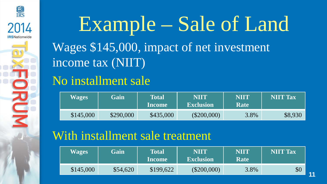

#### Example – Sale of Land Wages \$145,000, impact of net investment income tax (NIIT)

#### No installment sale

| <b>Wages</b> | Gain      | <b>Total</b><br><b>Income</b> | NIIT<br><b>Exclusion</b> | <b>NIIT</b><br>Rate | <b>NIIT Tax</b> |
|--------------|-----------|-------------------------------|--------------------------|---------------------|-----------------|
| \$145,000    | \$290,000 | \$435,000                     | $(\$200,000)$            | 3.8%                | \$8,930         |

#### With installment sale treatment

| <b>Wages</b> | Gain     | <b>Total</b><br><b>Income</b> | <b>NIIT</b><br><b>Exclusion</b> | <b>NIIT</b><br><b>Rate</b> | <b>NIIT Tax</b> |
|--------------|----------|-------------------------------|---------------------------------|----------------------------|-----------------|
| \$145,000    | \$54,620 | \$199,622                     | $(\$200,000)$                   | 3.8%                       | \$0             |

**11**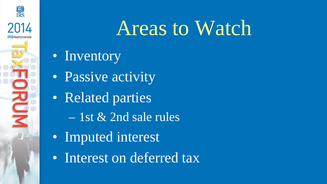

#### Areas to Watch

- Inventory
- Passive activity
- Related parties
	- 1st & 2nd sale rules
- Imputed interest
- Interest on deferred tax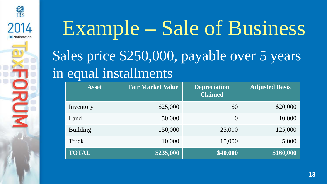

#### Example – Sale of Business Sales price \$250,000, payable over 5 years in equal installments

| <b>Asset</b>    | <b>Fair Market Value</b> | <b>Depreciation</b><br><b>Claimed</b> | <b>Adjusted Basis</b> |
|-----------------|--------------------------|---------------------------------------|-----------------------|
| Inventory       | \$25,000                 | \$0                                   | \$20,000              |
| Land            | 50,000                   | $\overline{0}$                        | 10,000                |
| <b>Building</b> | 150,000                  | 25,000                                | 125,000               |
| Truck           | 10,000                   | 15,000                                | 5,000                 |
| <b>TOTAL</b>    | \$235,000                | \$40,000                              | \$160,000             |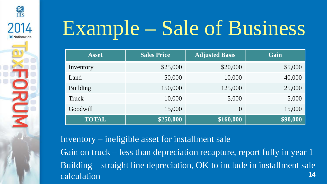

### Example – Sale of Business

| <b>Asset</b>    | <b>Sales Price</b> | <b>Adjusted Basis</b> | Gain     |
|-----------------|--------------------|-----------------------|----------|
| Inventory       | \$25,000           | \$20,000              | \$5,000  |
| Land            | 50,000             | 10,000                | 40,000   |
| <b>Building</b> | 150,000            | 125,000               | 25,000   |
| Truck           | 10,000             | 5,000                 | 5,000    |
| Goodwill        | 15,000             | $\overline{0}$        | 15,000   |
| <b>TOTAL</b>    | \$250,000          | \$160,000             | \$90,000 |

Inventory – ineligible asset for installment sale Gain on truck – less than depreciation recapture, report fully in year 1 Building – straight line depreciation, OK to include in installment sale calculation **<sup>14</sup>**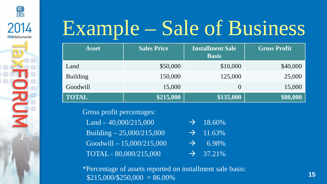

#### Example – Sale of Business

| <b>Asset</b>    | <b>Sales Price</b> | <b>Installment Sale</b><br><b>Basis</b> | <b>Gross Profit</b> |
|-----------------|--------------------|-----------------------------------------|---------------------|
| Land            | \$50,000           | \$10,000                                | \$40,000            |
| <b>Building</b> | 150,000            | 125,000                                 | 25,000              |
| Goodwill        | 15,000             | $\theta$                                | 15,000              |
| <b>TOTAL</b>    | \$215,000          | \$135,000                               | \$80,000            |

Gross profit percentages:

Land – 40,000/215,000  $\rightarrow$  18.60% Building  $-25,000/215,000$   $\rightarrow$  11.63%  $\overline{16,0000/215,000}$   $\rightarrow$  6.98% TOTAL -  $80,000/215,000$   $\rightarrow$  37.21%

\*Percentage of assets reported on installment sale basis: \$215,000/\$250,000 = 86.00% **<sup>15</sup>**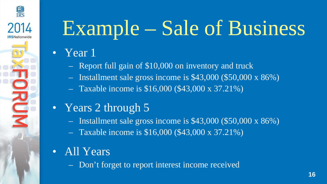

#### • Year 1

**KM**<br>IRS

ORUM

- Report full gain of \$10,000 on inventory and truck
- Installment sale gross income is \$43,000 (\$50,000 x 86%)
- Taxable income is \$16,000 (\$43,000 x 37.21%)

#### • Years 2 through 5

- Installment sale gross income is \$43,000 (\$50,000 x 86%)
- Taxable income is \$16,000 (\$43,000 x 37.21%)
- All Years

– Don't forget to report interest income received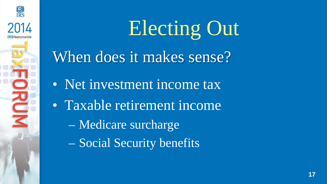

Electing Out

When does it makes sense?

• Net investment income tax

• Taxable retirement income

– Medicare surcharge

– Social Security benefits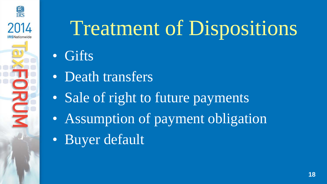

### Treatment of Dispositions

#### **Gifts**

- Death transfers
- Sale of right to future payments
- Assumption of payment obligation
- Buyer default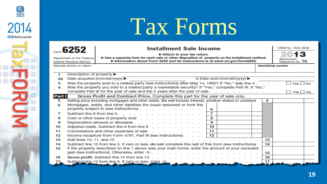### Tax Forms

**END**<br>IRS

2014

**IRSNationwide** 

**RUM** 

| Form 6252<br>Department of the Treasury<br>Internal Revenue Service | OMB No. 1545-0228<br>► Use a separate form for each sale or other disposition of property on the installment method.<br>Attachment<br>Sequence No. 79 |                                                                                                                                                                                            |                           |
|---------------------------------------------------------------------|-------------------------------------------------------------------------------------------------------------------------------------------------------|--------------------------------------------------------------------------------------------------------------------------------------------------------------------------------------------|---------------------------|
|                                                                     | Name(s) shown on return                                                                                                                               |                                                                                                                                                                                            | <b>Identifving number</b> |
| 1                                                                   | Description of property ▶                                                                                                                             |                                                                                                                                                                                            |                           |
| 2a                                                                  |                                                                                                                                                       | b Date sold (mm/dd/yyyy) ▶<br>Date acquired (mm/dd/yyyy) ▶                                                                                                                                 |                           |
| з                                                                   |                                                                                                                                                       | Was the property sold to a related party (see instructions) after May 14, 1980? If "No," skip line 4.                                                                                      | $\Box$ Yes $\Box$ No      |
| 4                                                                   |                                                                                                                                                       | Was the property you sold to a related party a marketable security? If "Yes," complete Part III. If "No,"<br>complete Part III for the year of sale and the 2 years after the year of sale | $\Box$ Yes $\Box$ No      |
| Part I                                                              |                                                                                                                                                       | Gross Profit and Contract Price. Complete this part for the year of sale only.                                                                                                             |                           |
| 5                                                                   |                                                                                                                                                       | Selling price including mortgages and other debts. Do not include interest, whether stated or unstated                                                                                     | 5                         |
| 6                                                                   |                                                                                                                                                       | Mortgages, debts, and other liabilities the buyer assumed or took the                                                                                                                      |                           |
|                                                                     |                                                                                                                                                       | property subject to (see instructions) $\ldots$<br>6                                                                                                                                       |                           |
| 7                                                                   |                                                                                                                                                       | 7<br>Subtract line 6 from line 5.                                                                                                                                                          |                           |
| 8                                                                   |                                                                                                                                                       | Cost or other basis of property sold<br>8                                                                                                                                                  |                           |
| 9                                                                   |                                                                                                                                                       | 9<br>Depreciation allowed or allowable                                                                                                                                                     |                           |
| 10<br>11                                                            |                                                                                                                                                       | Adjusted basis. Subtract line 9 from line 8<br>10<br>11                                                                                                                                    |                           |
| 12                                                                  |                                                                                                                                                       | Commissions and other expenses of sale<br>12<br>Income recapture from Form 4797, Part III (see instructions).                                                                              |                           |
| 13                                                                  |                                                                                                                                                       |                                                                                                                                                                                            | 13                        |
| 14                                                                  |                                                                                                                                                       | Subtract line 13 from line 5. If zero or less, do not complete the rest of this form (see instructions)                                                                                    | 14                        |
| 15                                                                  |                                                                                                                                                       | If the property described on line 1 above was your main home, enter the amount of your excluded                                                                                            |                           |
|                                                                     |                                                                                                                                                       |                                                                                                                                                                                            | 15                        |
| 16                                                                  |                                                                                                                                                       | Gross profit. Subtract line 15 from line 14                                                                                                                                                | 16                        |
| 17 <sub>m<sub>n</sub></sub>                                         |                                                                                                                                                       | Subtract line 13 from line 6. If zero or less, enter -0-                                                                                                                                   | 17                        |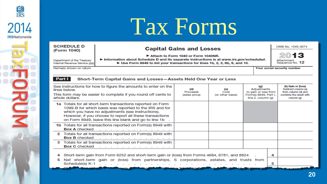

| <b>SCHEDULE D</b>                                                          | <b>Capital Gains and Losses</b>                                                                                                                                                                                  |  | OMB No. 1545-0074                     |
|----------------------------------------------------------------------------|------------------------------------------------------------------------------------------------------------------------------------------------------------------------------------------------------------------|--|---------------------------------------|
| (Form 1040)<br>Department of the Treasury<br>Internal Revenue Service (99) | Attach to Form 1040 or Form 1040NR.<br>▶ Information about Schedule D and its separate instructions is at www.irs.gov/scheduled.<br>► Use Form 8949 to list your transactions for lines 1b, 2, 3, 8b, 9, and 10. |  | 2013<br>Attachment<br>Sequence No. 12 |
| Name(s) shown on return                                                    |                                                                                                                                                                                                                  |  | Your social security number           |

#### Part I Short-Term Capital Gains and Losses-Assets Held One Year or Less

**物** 

2014

**IRSNationwide** 

JRUM

|                                                                                                                                                                                                                   | See instructions for how to figure the amounts to enter on the<br>lines below.<br>This form may be easier to complete if you round off cents to<br>whole dollars.                                                                                                                             | (d)<br>Proceeds<br>(sales price)                  | (e)<br>Cost<br>(or other basis) | (a)<br>Adjustments<br>to gain or loss from<br>Form(s) 8949, Part I,<br>line 2, column (g) |        | (h) Gain or (loss)<br>Subtract column (e)<br>from column (d) and<br>combine the result with<br>column (g) |
|-------------------------------------------------------------------------------------------------------------------------------------------------------------------------------------------------------------------|-----------------------------------------------------------------------------------------------------------------------------------------------------------------------------------------------------------------------------------------------------------------------------------------------|---------------------------------------------------|---------------------------------|-------------------------------------------------------------------------------------------|--------|-----------------------------------------------------------------------------------------------------------|
|                                                                                                                                                                                                                   | 1a Totals for all short-term transactions reported on Form<br>1099-B for which basis was reported to the IRS and for<br>which you have no adjustments (see instructions).<br>However, if you choose to report all these transactions<br>on Form 8949, leave this line blank and go to line 1b |                                                   |                                 |                                                                                           |        |                                                                                                           |
|                                                                                                                                                                                                                   | 1b Totals for all transactions reported on Form(s) 8949 with<br><b>Box A checked</b><br>and a series of the contract of the contract of the                                                                                                                                                   |                                                   |                                 |                                                                                           |        |                                                                                                           |
|                                                                                                                                                                                                                   | 2 Totals for all transactions reported on Form(s) 8949 with<br><b>Box B checked</b><br>and a series of the contract of the contract of the                                                                                                                                                    |                                                   |                                 |                                                                                           |        |                                                                                                           |
|                                                                                                                                                                                                                   | 3 Totals for all transactions reported on Form(s) 8949 with<br><b>Box C</b> checked<br>and a series of the contract of the contract of the con-                                                                                                                                               |                                                   |                                 |                                                                                           |        |                                                                                                           |
| Short-term gain from Form 6252 and short-term gain or (loss) from Forms 4684, 6781, and 8824<br>Net short-term gain or (loss) from partnerships, S corporations, estates, and trusts from<br>5<br>Schedule(s) K-1 |                                                                                                                                                                                                                                                                                               |                                                   |                                 |                                                                                           | 4<br>5 |                                                                                                           |
|                                                                                                                                                                                                                   | <b>MALLOY A</b><br>المحاطب والمسا                                                                                                                                                                                                                                                             | <b>Mathematic Advise on a financial in column</b> |                                 |                                                                                           |        |                                                                                                           |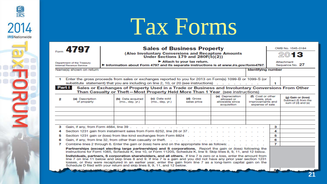#### Tax Forms

**END**<br>IRS

2014

**IRSNationwide** 

**RUM** 

|        | Ecoro 4797<br>Department of the Treasury<br>Internal Revenue Service                                                                                                                                                                                                                                                                                                                                                                                                                                                                                                                                                                                                                                                                                                                            | <b>Sales of Business Property</b><br>(Also Involuntary Conversions and Recapture Amounts<br>Under Sections 179 and 280F(b)(2))<br>$\blacktriangleright$ Attach to your tax return.<br>Information about Form 4797 and its separate instructions is at www.irs.gov/form4797. |                                  |                          |                                                                  |                                                                         |                | OMB No. 1545-0184<br>2013<br>Attachment<br>Sequence No. 27        |
|--------|-------------------------------------------------------------------------------------------------------------------------------------------------------------------------------------------------------------------------------------------------------------------------------------------------------------------------------------------------------------------------------------------------------------------------------------------------------------------------------------------------------------------------------------------------------------------------------------------------------------------------------------------------------------------------------------------------------------------------------------------------------------------------------------------------|-----------------------------------------------------------------------------------------------------------------------------------------------------------------------------------------------------------------------------------------------------------------------------|----------------------------------|--------------------------|------------------------------------------------------------------|-------------------------------------------------------------------------|----------------|-------------------------------------------------------------------|
|        | Name(s) shown on return                                                                                                                                                                                                                                                                                                                                                                                                                                                                                                                                                                                                                                                                                                                                                                         |                                                                                                                                                                                                                                                                             |                                  |                          |                                                                  | <b>Identifying number</b>                                               |                |                                                                   |
| 1.     |                                                                                                                                                                                                                                                                                                                                                                                                                                                                                                                                                                                                                                                                                                                                                                                                 | Enter the gross proceeds from sales or exchanges reported to you for 2013 on Form(s) 1099-B or 1099-S (or<br>substitute statement) that you are including on line 2, 10, or 20 (see instructions).                                                                          |                                  |                          |                                                                  |                                                                         | 1              |                                                                   |
|        | Part I                                                                                                                                                                                                                                                                                                                                                                                                                                                                                                                                                                                                                                                                                                                                                                                          | Sales or Exchanges of Property Used in a Trade or Business and Involuntary Conversions From Other<br>Than Casualty or Theft-Most Property Held More Than 1 Year (see instructions)                                                                                          |                                  |                          |                                                                  |                                                                         |                |                                                                   |
| 2      | (a) Description<br>of property                                                                                                                                                                                                                                                                                                                                                                                                                                                                                                                                                                                                                                                                                                                                                                  | (b) Date acquired<br>(mo., day, yr.)                                                                                                                                                                                                                                        | (c) Date sold<br>(mo., day, yr.) | (d) Gross<br>sales price | (e) Depreciation<br>allowed or<br>allowable since<br>acquisition | (f) Cost or other<br>basis, plus<br>improvements and<br>expense of sale |                | (g) Gain or (loss)<br>Subtract (f) from the<br>sum of (d) and (e) |
|        |                                                                                                                                                                                                                                                                                                                                                                                                                                                                                                                                                                                                                                                                                                                                                                                                 |                                                                                                                                                                                                                                                                             |                                  |                          |                                                                  |                                                                         |                |                                                                   |
|        |                                                                                                                                                                                                                                                                                                                                                                                                                                                                                                                                                                                                                                                                                                                                                                                                 |                                                                                                                                                                                                                                                                             |                                  |                          |                                                                  |                                                                         |                |                                                                   |
| з      |                                                                                                                                                                                                                                                                                                                                                                                                                                                                                                                                                                                                                                                                                                                                                                                                 | Gain, if any, from Form 4684, line 39                                                                                                                                                                                                                                       |                                  |                          |                                                                  |                                                                         | з              |                                                                   |
| 4<br>5 |                                                                                                                                                                                                                                                                                                                                                                                                                                                                                                                                                                                                                                                                                                                                                                                                 | Section 1231 gain from installment sales from Form 6252, line 26 or 37.<br>Section 1231 gain or (loss) from like-kind exchanges from Form 8824                                                                                                                              |                                  |                          |                                                                  |                                                                         | 4<br>5         |                                                                   |
| 6      |                                                                                                                                                                                                                                                                                                                                                                                                                                                                                                                                                                                                                                                                                                                                                                                                 | Gain, if any, from line 32, from other than casualty or theft. $\cdot$ . $\cdot$ . $\cdot$ . $\cdot$ . $\cdot$                                                                                                                                                              |                                  |                          |                                                                  |                                                                         | 6              |                                                                   |
| 7      |                                                                                                                                                                                                                                                                                                                                                                                                                                                                                                                                                                                                                                                                                                                                                                                                 |                                                                                                                                                                                                                                                                             |                                  |                          |                                                                  |                                                                         | $\overline{7}$ |                                                                   |
|        | Combine lines 2 through 6. Enter the gain or (loss) here and on the appropriate line as follows: .<br>Partnerships (except electing large partnerships) and S corporations. Report the gain or (loss) following the<br>instructions for Form 1065, Schedule K, line 10, or Form 1120S, Schedule K, line 9. Skip lines 8, 9, 11, and 12 below.<br>Individuals, partners. S corporation shareholders, and all others. If line 7 is zero or a loss, enter the amount from<br>line 7 on line 11 below and skip lines 8 and 9. If line 7 is a gain and you did not have any prior year section 1231<br>losses, or they were recaptured in an earlier year, enter the gain from line 7 as a long-term capital gain on the<br>Schedule D filed with your return and skip lines 8, 9, 11, and 12 below. |                                                                                                                                                                                                                                                                             |                                  |                          |                                                                  |                                                                         |                |                                                                   |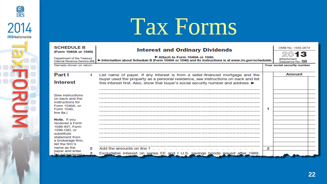

**END**<br>IRS

2014

**IRSNationwide** 

**RUM** 

| <b>SCHEDULE B</b>                                                                                                                                                                                   | <b>Interest and Ordinary Dividends</b><br>(Form 1040A or 1040) |                                                                                                                                                                                             |                               | OMB No. 1545-0074           |
|-----------------------------------------------------------------------------------------------------------------------------------------------------------------------------------------------------|----------------------------------------------------------------|---------------------------------------------------------------------------------------------------------------------------------------------------------------------------------------------|-------------------------------|-----------------------------|
| Attach to Form 1040A or 1040.<br>Department of the Treasury<br>Information about Schedule B (Form 1040A or 1040) and its instructions is at www.irs.gov/scheduleb.<br>Internal Revenue Service (99) |                                                                |                                                                                                                                                                                             | Attachment<br>Sequence No. 08 |                             |
| Name(s) shown on return                                                                                                                                                                             |                                                                |                                                                                                                                                                                             |                               | Your social security number |
| Part I                                                                                                                                                                                              | 1                                                              | List name of payer. If any interest is from a seller-financed mortgage and the                                                                                                              |                               | Amount                      |
| <b>Interest</b>                                                                                                                                                                                     |                                                                | buyer used the property as a personal residence, see instructions on back and list<br>this interest first. Also, show that buyer's social security number and address $\blacktriangleright$ |                               |                             |
| (See instructions<br>on back and the<br>instructions for<br>Form 1040A, or<br>Form 1040.<br>line 8a.)                                                                                               |                                                                |                                                                                                                                                                                             |                               |                             |
| Note. If you<br>received a Form<br>1099-INT, Form<br>1099-OID, or<br>substitute<br>statement from<br>a brokerage firm.<br>list the firm's                                                           |                                                                |                                                                                                                                                                                             |                               |                             |
| name as the<br>payer and enter                                                                                                                                                                      | 2                                                              | Add the amounts on line 1.                                                                                                                                                                  | 2                             |                             |
| the total interest.                                                                                                                                                                                 | з                                                              | Excludable interest on series EE and I U.S. savings bonds issued after 1989.                                                                                                                |                               |                             |